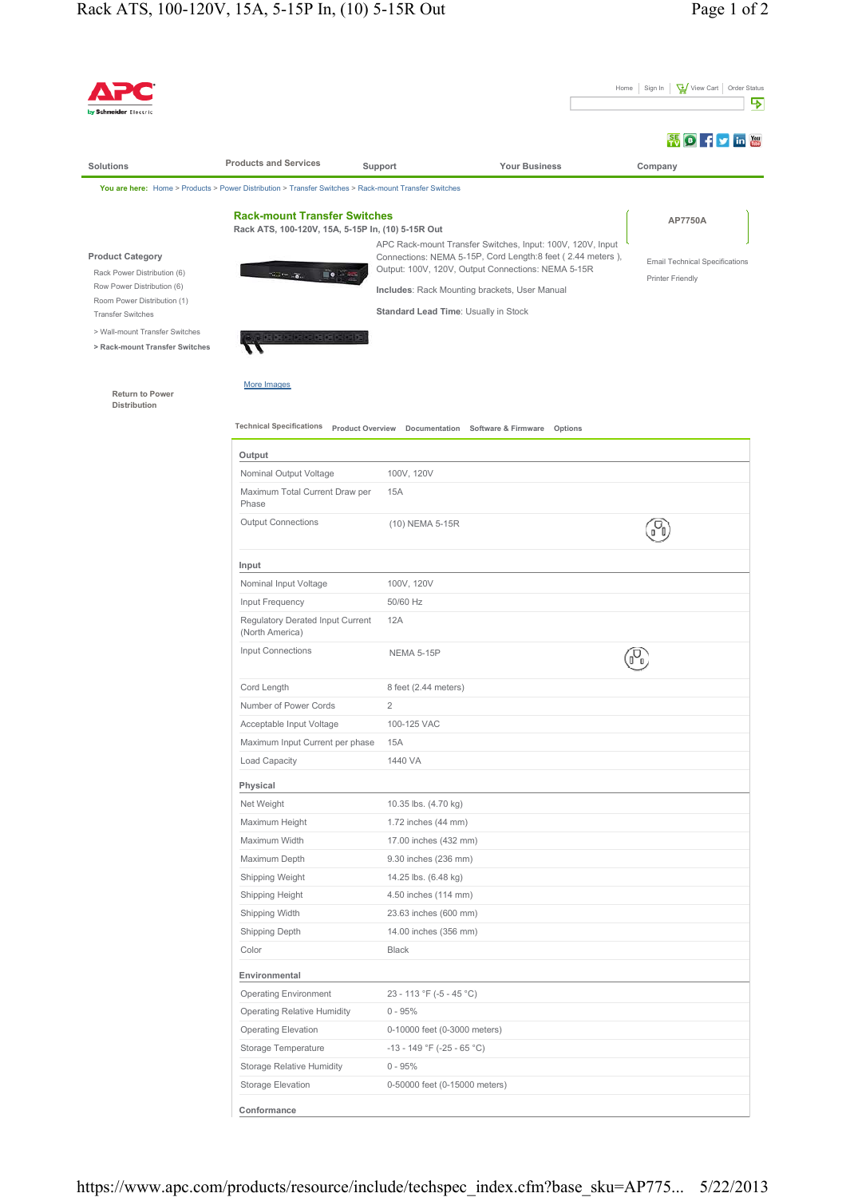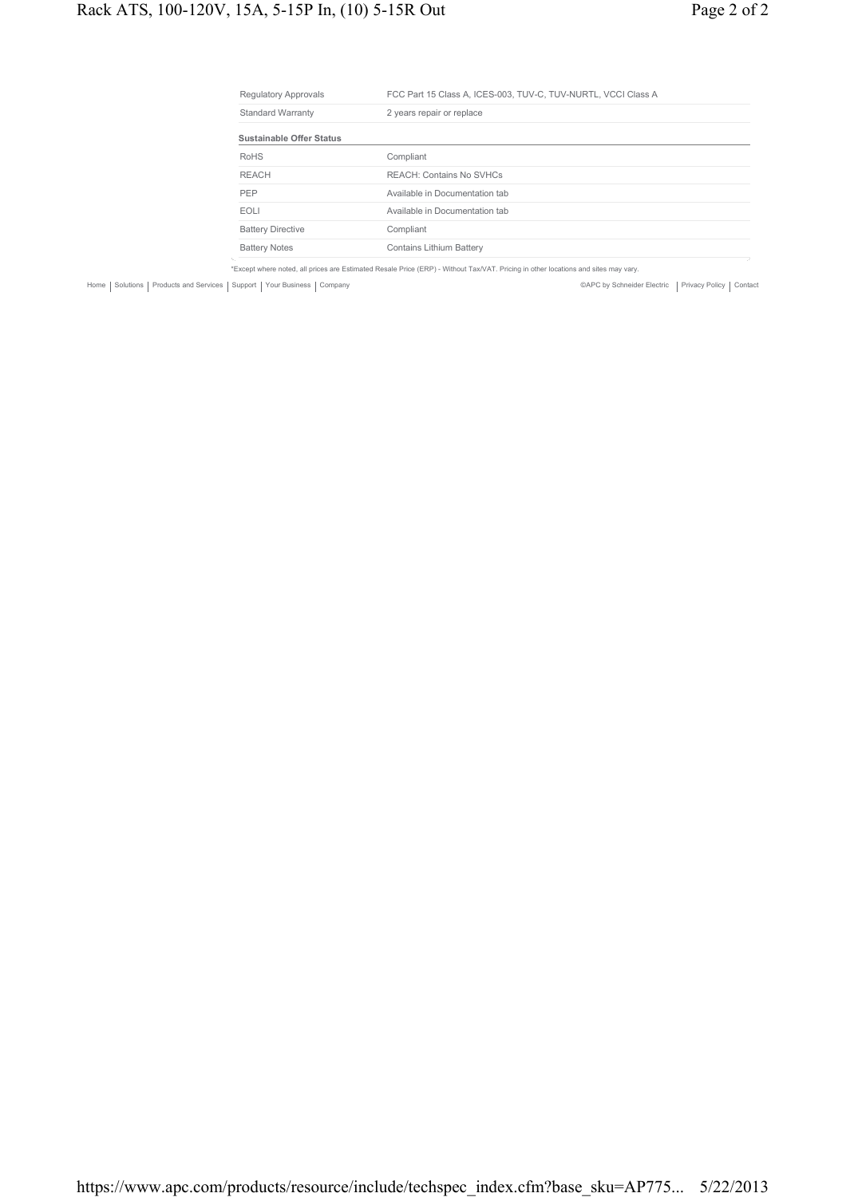| <b>Regulatory Approvals</b> | FCC Part 15 Class A, ICES-003, TUV-C, TUV-NURTL, VCCI Class A |
|-----------------------------|---------------------------------------------------------------|
| <b>Standard Warranty</b>    | 2 years repair or replace                                     |
| Sustainable Offer Status    |                                                               |
| <b>RoHS</b>                 | Compliant                                                     |
| <b>REACH</b>                | <b>REACH: Contains No SVHCs</b>                               |
| PEP                         | Available in Documentation tab                                |
| <b>EOLI</b>                 | Available in Documentation tab                                |
| <b>Battery Directive</b>    | Compliant                                                     |
| <b>Battery Notes</b>        | <b>Contains Lithium Battery</b>                               |

\*Except where noted, all prices are Estimated Resale Price (ERP) - Without Tax/VAT. Pricing in other locations and sites may vary.

Home | Solutions | Products and Services | Support | Your Business | Company | Contact | Contact | Contact | Contact | Privacy Policy | Contact